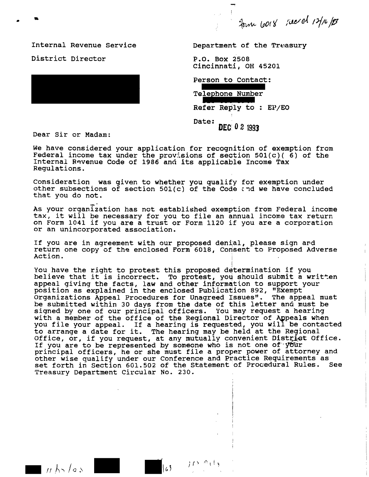Journ 1018 recent 12/16/23

Internal Revenue Service District Director



Department of the Treasury

P.O. Box 2508 Cincinnati, OH 45201

Person to Contact:

Telephone Number

Refer Reply to : EP/EO

Date: DEC 0 2 1993

Dear Sir or Madam:

We have considered your application for recognition of exemption from Federal income tax under the provisions of section 501(c)(6) of the<br>Internal Revenue Code of 1986 and its applicable Income Tax Regulations.

Consideration was given to whether you qualify for exemption under other subsections of section 501(c) of the Code and we have concluded that you do not.

As your organization has not established exemption from Federal income tax, it will be necessary for you to file an annual income tax return on Form 1041 if you are a trust or Form 1120 if you are a corporation or an unincorporated association.

If you are in agreement with our proposed denial, please sign ard return one copy of the enclosed Form 6018, Consent to Proposed Adverse Action.

You have the right to protest this proposed determination if you believe that it is incorrect. To protest, you should submit a written appeal giving the facts, law and other information to support your position as explained in the enclosed Publication 892, "Exempt Organizations Appeal Procedures for Unagreed Issues". The appeal must be submitted within 30 days from the date of this letter and must be signed by one of our principal officers. You may request a hearing with a member of the office of the Regional Director of Appeals when<br>you file your appeal. If a hearing is requested, you will be contacted<br>to arrange a date for it. The hearing may be held at the Regional<br>Office, or, if y principal officers, he or she must file a proper power of attorney and other wise qualify under our Conference and Practice Requirements as set forth in Section 601.502 of the Statement of Procedural Rules. See Treasury Department Circular No. 230.

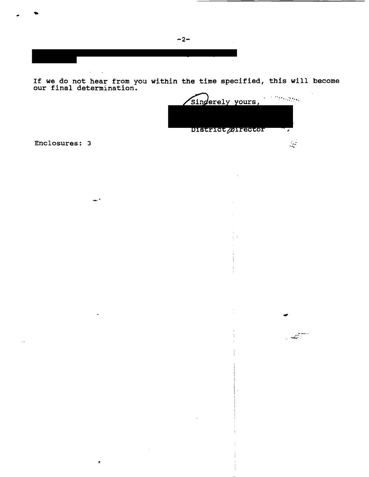If we do not hear from you within the time specified, this will become our final determination.



 $\frac{1}{2}$ 

Enclosures: 3

 $\mathbf{r}$ 

 $\pmb{\epsilon}$ 

 $-2-$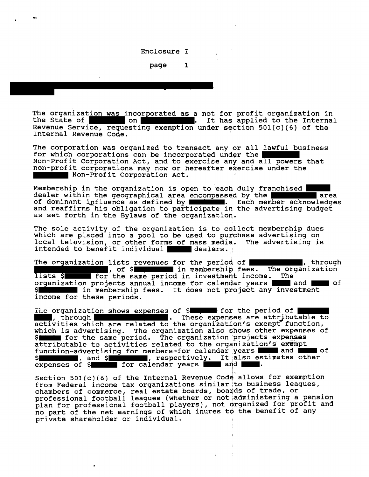Enclosure I

page  $\mathbf{1}$ 

The organization was incorporated as a not for profit organization in the State of  $\circ$ n I. It has applied to the Internal Revenue Service, requesting exemption under section 501(c)(6) of the Internal Revenue Code.

The corporation was organized to transact any or all lawful business for which corporations can be incorporated under the Non-Profit Corporation Act, and to exercise any and all powers that non-profit corporations may now or hereafter exercise under the Non-Profit Corporation Act.

Membership in the organization is open to each duly franchised dealer within the geographical area encompassed by the **Larea** Each member acknowledges of dominant influence as defined by and reaffirms his obligation to participate in the advertising budget as set forth in the Bylaws of the organization.

The sole activity of the organization is to collect membership dues which are placed into a pool to be used to purchase advertising on local television, or other forms of mass media. The advertising is intended to benefit individual dealers.

The organization lists revenues for the period of  $\blacksquare$ , through , of \$ \, in membership fees. The organization lists \$ for the same period in investment income. The organization projects annual income for calendar years | and of In membership fees. It does not project any investment \$I income for these periods.

The organization shows expenses of \$ 7.000 for the period of . These expenses are attributable to , through. activities which are related to the organization's exempt function, which is advertising. The organization also shows other expenses of for the same period. The organization projects expenses SI attributable to activities related to the organization's exempt function-advertising for members-for calendar years  $\blacksquare$  and  $\blacksquare$  $\blacksquare$  of and \$ (1), respectively. It also estimates other  $S$ expenses of \$ for calendar years and .

Section 501(c)(6) of the Internal Revenue Code allows for exemption from Federal income tax organizations similar to business leagues, chambers of commerce, real estate boards, boards of trade, or professional football leagues (whether or not administering a pension plan for professional football players), not organized for profit and no part of the net earnings of which inures to the benefit of any private shareholder or individual.